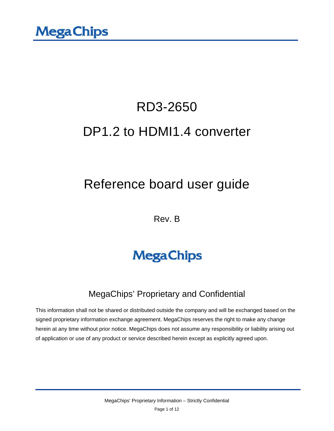# RD3-2650 DP1.2 to HDMI1.4 converter

### Reference board user guide

Rev. B

## **MegaChips**

### MegaChips' Proprietary and Confidential

This information shall not be shared or distributed outside the company and will be exchanged based on the signed proprietary information exchange agreement. MegaChips reserves the right to make any change herein at any time without prior notice. MegaChips does not assume any responsibility or liability arising out of application or use of any product or service described herein except as explicitly agreed upon.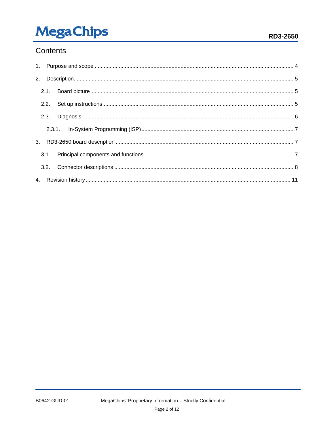## **MegaChips**

#### Contents

| 2.1. |  |  |
|------|--|--|
|      |  |  |
|      |  |  |
|      |  |  |
|      |  |  |
|      |  |  |
|      |  |  |
|      |  |  |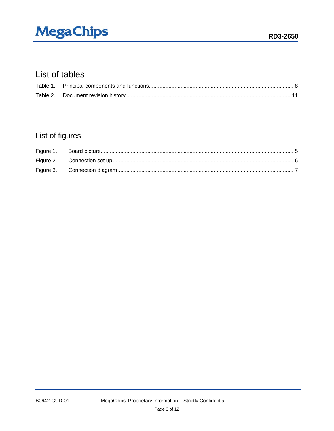## **MegaChips**

### List of tables

### List of figures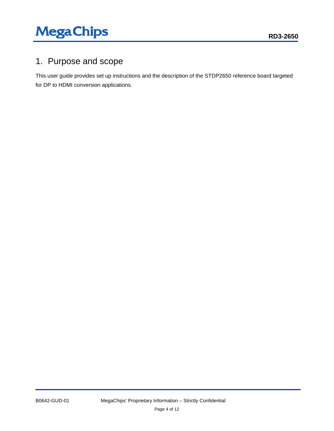### <span id="page-3-0"></span>1. Purpose and scope

This user guide provides set up instructions and the description of the STDP2650 reference board targeted for DP to HDMI conversion applications.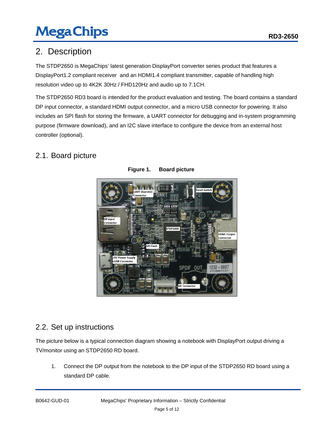### <span id="page-4-0"></span>2. Description

The STDP2650 is MegaChips' latest generation DisplayPort converter series product that features a DisplayPort1.2 compliant receiver and an HDMI1.4 compliant transmitter, capable of handling high resolution video up to 4K2K 30Hz / FHD120Hz and audio up to 7.1CH.

The STDP2650 RD3 board is intended for the product evaluation and testing. The board contains a standard DP input connector, a standard HDMI output connector, and a micro USB connector for powering. It also includes an SPI flash for storing the firmware, a UART connector for debugging and in-system programming purpose (firmware download), and an I2C slave interface to configure the device from an external host controller (optional).

### <span id="page-4-3"></span><span id="page-4-1"></span>2.1. Board picture



**Figure 1. Board picture**

#### <span id="page-4-2"></span>2.2. Set up instructions

The picture below is a typical connection diagram showing a notebook with DisplayPort output driving a TV/monitor using an STDP2650 RD board.

1. Connect the DP output from the notebook to the DP input of the STDP2650 RD board using a standard DP cable.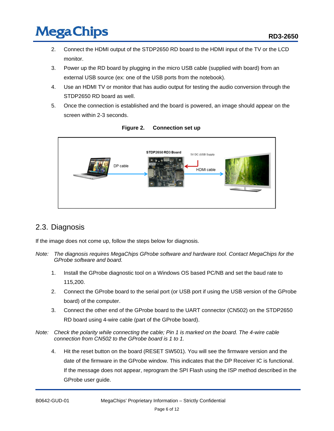- 2. Connect the HDMI output of the STDP2650 RD board to the HDMI input of the TV or the LCD monitor.
- 3. Power up the RD board by plugging in the micro USB cable (supplied with board) from an external USB source (ex: one of the USB ports from the notebook).
- 4. Use an HDMI TV or monitor that has audio output for testing the audio conversion through the STDP2650 RD board as well.
- 5. Once the connection is established and the board is powered, an image should appear on the screen within 2-3 seconds.

<span id="page-5-1"></span>

#### **Figure 2. Connection set up**

#### <span id="page-5-0"></span>2.3. Diagnosis

If the image does not come up, follow the steps below for diagnosis.

- *Note: The diagnosis requires MegaChips GProbe software and hardware tool. Contact MegaChips for the GProbe software and board.*
	- 1. Install the GProbe diagnostic tool on a Windows OS based PC/NB and set the baud rate to 115,200.
	- 2. Connect the GProbe board to the serial port (or USB port if using the USB version of the GProbe board) of the computer.
	- 3. Connect the other end of the GProbe board to the UART connector (CN502) on the STDP2650 RD board using 4-wire cable (part of the GProbe board).
- *Note: Check the polarity while connecting the cable; Pin 1 is marked on the board. The 4-wire cable connection from CN502 to the GProbe board is 1 to 1.*
	- 4. Hit the reset button on the board (RESET SW501). You will see the firmware version and the date of the firmware in the GProbe window. This indicates that the DP Receiver IC is functional. If the message does not appear, reprogram the SPI Flash using the ISP method described in the GProbe user guide.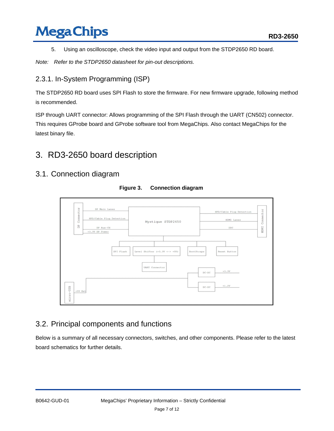5. Using an oscilloscope, check the video input and output from the STDP2650 RD board.

*Note: Refer to the STDP2650 datasheet for pin-out descriptions.*

#### <span id="page-6-0"></span>2.3.1. In-System Programming (ISP)

The STDP2650 RD board uses SPI Flash to store the firmware. For new firmware upgrade, following method is recommended.

ISP through UART connector: Allows programming of the SPI Flash through the UART (CN502) connector. This requires GProbe board and GProbe software tool from MegaChips. Also contact MegaChips for the latest binary file.

### <span id="page-6-1"></span>3. RD3-2650 board description

#### <span id="page-6-4"></span>3.1. Connection diagram



**Figure 3. Connection diagram**

#### <span id="page-6-2"></span>3.2. Principal components and functions

<span id="page-6-3"></span>Below is a summary of all necessary connectors, switches, and other components. Please refer to the latest board schematics for further details.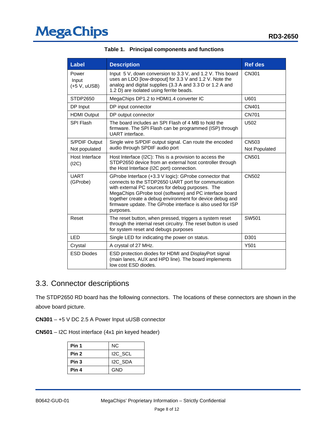| <b>Label</b>                   | <b>Description</b>                                                                                                                                                                                                                                                                                                                                                   | <b>Ref des</b>                |
|--------------------------------|----------------------------------------------------------------------------------------------------------------------------------------------------------------------------------------------------------------------------------------------------------------------------------------------------------------------------------------------------------------------|-------------------------------|
| Power<br>Input<br>(+5 V, uUSB) | Input 5 V, down conversion to 3.3 V, and 1.2 V. This board<br>uses an LDO [low-dropout] for 3.3 V and 1.2 V. Note the<br>analog and digital supplies (3.3 A and 3.3 D or 1.2 A and<br>1.2 D) are isolated using ferrite beads.                                                                                                                                       | CN301                         |
| STDP2650                       | MegaChips DP1.2 to HDMI1.4 converter IC                                                                                                                                                                                                                                                                                                                              | U601                          |
| DP Input                       | DP input connector                                                                                                                                                                                                                                                                                                                                                   | CN401                         |
| <b>HDMI Output</b>             | DP output connector                                                                                                                                                                                                                                                                                                                                                  | <b>CN701</b>                  |
| SPI Flash                      | The board includes an SPI Flash of 4 MB to hold the<br>firmware. The SPI Flash can be programmed (ISP) through<br>UART interface.                                                                                                                                                                                                                                    | U502                          |
| S/PDIF Output<br>Not populated | Single wire S/PDIF output signal. Can route the encoded<br>audio through SPDIF audio port                                                                                                                                                                                                                                                                            | <b>CN503</b><br>Not Populated |
| Host Interface<br>(12C)        | Host Interface (I2C): This is a provision to access the<br>STDP2650 device from an external host controller through<br>the Host Interface (I2C port) connection.                                                                                                                                                                                                     | CN501                         |
| <b>UART</b><br>(GProbe)        | GProbe Interface (+3.3 V logic): GProbe connector that<br>connects to the STDP2650 UART port for communication<br>with external PC sources for debug purposes. The<br>MegaChips GProbe tool (software) and PC interface board<br>together create a debug environment for device debug and<br>firmware update. The GProbe interface is also used for ISP<br>purposes. | CN502                         |
| Reset                          | The reset button, when pressed, triggers a system reset<br>through the internal reset circuitry. The reset button is used<br>for system reset and debugs purposes                                                                                                                                                                                                    | SW501                         |
| <b>LED</b>                     | Single LED for indicating the power on status.                                                                                                                                                                                                                                                                                                                       | D301                          |
| Crystal                        | A crystal of 27 MHz.                                                                                                                                                                                                                                                                                                                                                 | Y501                          |
| <b>ESD Diodes</b>              | ESD protection diodes for HDMI and DisplayPort signal<br>(main lanes, AUX and HPD line). The board implements<br>low cost ESD diodes.                                                                                                                                                                                                                                |                               |

|  |  | Table 1. Principal components and functions |  |  |
|--|--|---------------------------------------------|--|--|
|--|--|---------------------------------------------|--|--|

#### <span id="page-7-0"></span>3.3. Connector descriptions

The STDP2650 RD board has the following connectors. The locations of these connectors are shown in the above board picture.

**CN301** – +5 V DC 2.5 A Power Input uUSB connector

| Pin 1            | NC.                 |
|------------------|---------------------|
| Pin <sub>2</sub> | I <sub>2C</sub> SCL |
| Pin 3            | I2C SDA             |
| Pin 4            | GND                 |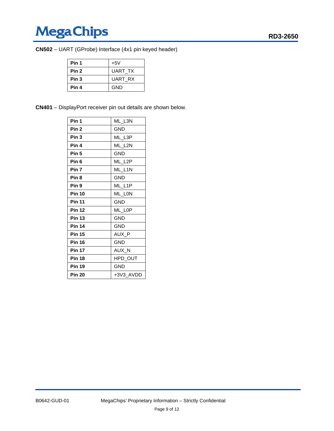## MegaChips **MegaChips**RD3-2650

| CN502 - UART (GProbe) Interface (4x1 pin keyed header) |  |  |  |
|--------------------------------------------------------|--|--|--|
|--------------------------------------------------------|--|--|--|

| Pin 1 | $+5V$          |
|-------|----------------|
| Pin 2 | UART TX        |
| Pin 3 | <b>UART RX</b> |
| Pin 4 | GND            |

|  | <b>CN401</b> - DisplayPort receiver pin out details are shown below. |
|--|----------------------------------------------------------------------|
|--|----------------------------------------------------------------------|

| Pin 1            | ML L3N     |
|------------------|------------|
| Pin <sub>2</sub> | GND.       |
| Pin <sub>3</sub> | ML_L3P     |
| Pin 4            | ML_L2N     |
| Pin <sub>5</sub> | <b>GND</b> |
| Pin <sub>6</sub> | ML_L2P     |
| Pin <sub>7</sub> | ML_L1N     |
| Pin <sub>8</sub> | <b>GND</b> |
| Pin 9            | ML L1P     |
| <b>Pin 10</b>    | ML LON     |
| <b>Pin 11</b>    | <b>GND</b> |
| <b>Pin 12</b>    | ML LOP     |
| <b>Pin 13</b>    | GND.       |
| <b>Pin 14</b>    | GND.       |
| <b>Pin 15</b>    | AUX P      |
| <b>Pin 16</b>    | <b>GND</b> |
| <b>Pin 17</b>    | AUX_N      |
| <b>Pin 18</b>    | HPD OUT    |
| <b>Pin 19</b>    | GND        |
| <b>Pin 20</b>    | +3V3 AVDD  |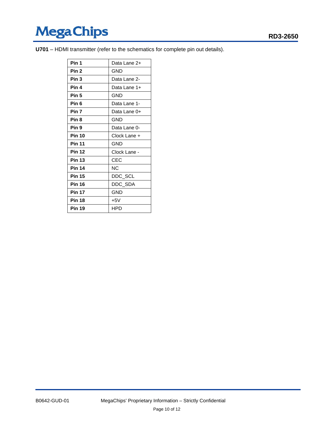## Mega Chips **Mega Chips**RD3-2650

**U701** – HDMI transmitter (refer to the schematics for complete pin out details).

| Pin 1            | Data Lane 2+ |
|------------------|--------------|
| Pin <sub>2</sub> | GND          |
| Pin <sub>3</sub> | Data Lane 2- |
| Pin 4            | Data Lane 1+ |
| Pin <sub>5</sub> | <b>GND</b>   |
| Pin <sub>6</sub> | Data Lane 1- |
| Pin 7            | Data Lane 0+ |
| Pin <sub>8</sub> | <b>GND</b>   |
| Pin <sub>9</sub> | Data Lane 0- |
| <b>Pin 10</b>    | Clock Lane + |
| <b>Pin 11</b>    | <b>GND</b>   |
| <b>Pin 12</b>    | Clock Lane - |
| <b>Pin 13</b>    | CEC          |
| <b>Pin 14</b>    | NC           |
| <b>Pin 15</b>    | DDC_SCL      |
| <b>Pin 16</b>    | DDC_SDA      |
| <b>Pin 17</b>    | GND          |
| <b>Pin 18</b>    | $+5V$        |
| <b>Pin 19</b>    | HPD          |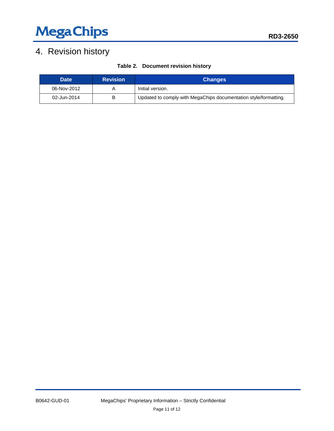## MegaChips **MegaChips**RD3-2650

### <span id="page-10-0"></span>4. Revision history

| Table 2. Document revision history |  |
|------------------------------------|--|
|------------------------------------|--|

<span id="page-10-1"></span>

| <b>Date</b> | <b>Revision</b> | <b>Changes</b>                                                   |
|-------------|-----------------|------------------------------------------------------------------|
| 06-Nov-2012 |                 | Initial version.                                                 |
| 02-Jun-2014 | В               | Updated to comply with MegaChips documentation style/formatting. |